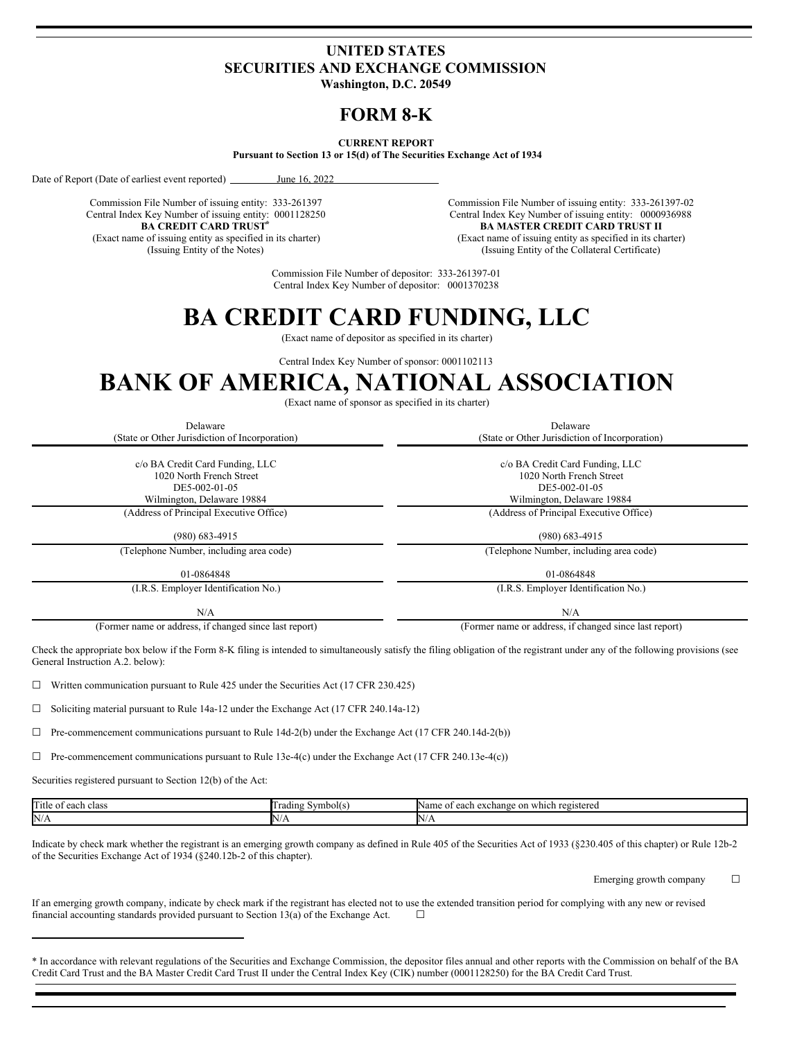# **UNITED STATES SECURITIES AND EXCHANGE COMMISSION**

**Washington, D.C. 20549**

# **FORM 8-K**

## **CURRENT REPORT**

**Pursuant to Section 13 or 15(d) of The Securities Exchange Act of 1934**

Date of Report (Date of earliest event reported) June 16, 2022

Commission File Number of issuing entity: 333-261397 Central Index Key Number of issuing entity: 0001128250 **BA CREDIT CARD TRUST\***

(Exact name of issuing entity as specified in its charter) (Issuing Entity of the Notes)

Commission File Number of issuing entity: 333-261397-02 Central Index Key Number of issuing entity: 0000936988 **BA MASTER CREDIT CARD TRUST II** (Exact name of issuing entity as specified in its charter) (Issuing Entity of the Collateral Certificate)

Commission File Number of depositor: 333-261397-01 Central Index Key Number of depositor: 0001370238

# **BA CREDIT CARD FUNDING, LLC**

(Exact name of depositor as specified in its charter)

Central Index Key Number of sponsor: 0001102113

# **BANK OF AMERICA, NATIONAL ASSOCIATION**

(Exact name of sponsor as specified in its charter)

| Delaware<br>(State or Other Jurisdiction of Incorporation)                   | Delaware<br>(State or Other Jurisdiction of Incorporation)                   |  |
|------------------------------------------------------------------------------|------------------------------------------------------------------------------|--|
| c/o BA Credit Card Funding, LLC<br>1020 North French Street<br>DE5-002-01-05 | c/o BA Credit Card Funding, LLC<br>1020 North French Street<br>DE5-002-01-05 |  |
| Wilmington, Delaware 19884<br>(Address of Principal Executive Office)        | Wilmington, Delaware 19884<br>(Address of Principal Executive Office)        |  |
| $(980)$ 683-4915                                                             | $(980)$ 683-4915                                                             |  |
| (Telephone Number, including area code)                                      | (Telephone Number, including area code)                                      |  |
| 01-0864848                                                                   | 01-0864848                                                                   |  |
| (I.R.S. Employer Identification No.)                                         | (I.R.S. Employer Identification No.)                                         |  |

 $N/A$   $N/A$ 

(Former name or address, if changed since last report) (Former name or address, if changed since last report)

Check the appropriate box below if the Form 8-K filing is intended to simultaneously satisfy the filing obligation of the registrant under any of the following provisions (see General Instruction A.2. below):

☐ Written communication pursuant to Rule 425 under the Securities Act (17 CFR 230.425)

☐ Soliciting material pursuant to Rule 14a-12 under the Exchange Act (17 CFR 240.14a-12)

 $\Box$  Pre-commencement communications pursuant to Rule 14d-2(b) under the Exchange Act (17 CFR 240.14d-2(b))

 $\Box$  Pre-commencement communications pursuant to Rule 13e-4(c) under the Exchange Act (17 CFR 240.13e-4(c))

Securities registered pursuant to Section 12(b) of the Act:

| Title<br>class<br>$\Delta$<br>саын | Symbol(s)<br>radını | each<br>which<br>Name<br>$-$<br>registereo<br><sub>on</sub><br>$. \alpha v$<br>ΩŦ<br>… в САСпат- |
|------------------------------------|---------------------|--------------------------------------------------------------------------------------------------|
| N/A                                | 'N)                 | $N/\ell$                                                                                         |

Indicate by check mark whether the registrant is an emerging growth company as defined in Rule 405 of the Securities Act of 1933 (§230.405 of this chapter) or Rule 12b-2 of the Securities Exchange Act of 1934 (§240.12b-2 of this chapter).

Emerging growth company  $\Box$ 

If an emerging growth company, indicate by check mark if the registrant has elected not to use the extended transition period for complying with any new or revised financial accounting standards provided pursuant to Section 13(a) of the Exchange Act.  $\Box$ 

<sup>\*</sup> In accordance with relevant regulations of the Securities and Exchange Commission, the depositor files annual and other reports with the Commission on behalf of the BA Credit Card Trust and the BA Master Credit Card Trust II under the Central Index Key (CIK) number (0001128250) for the BA Credit Card Trust.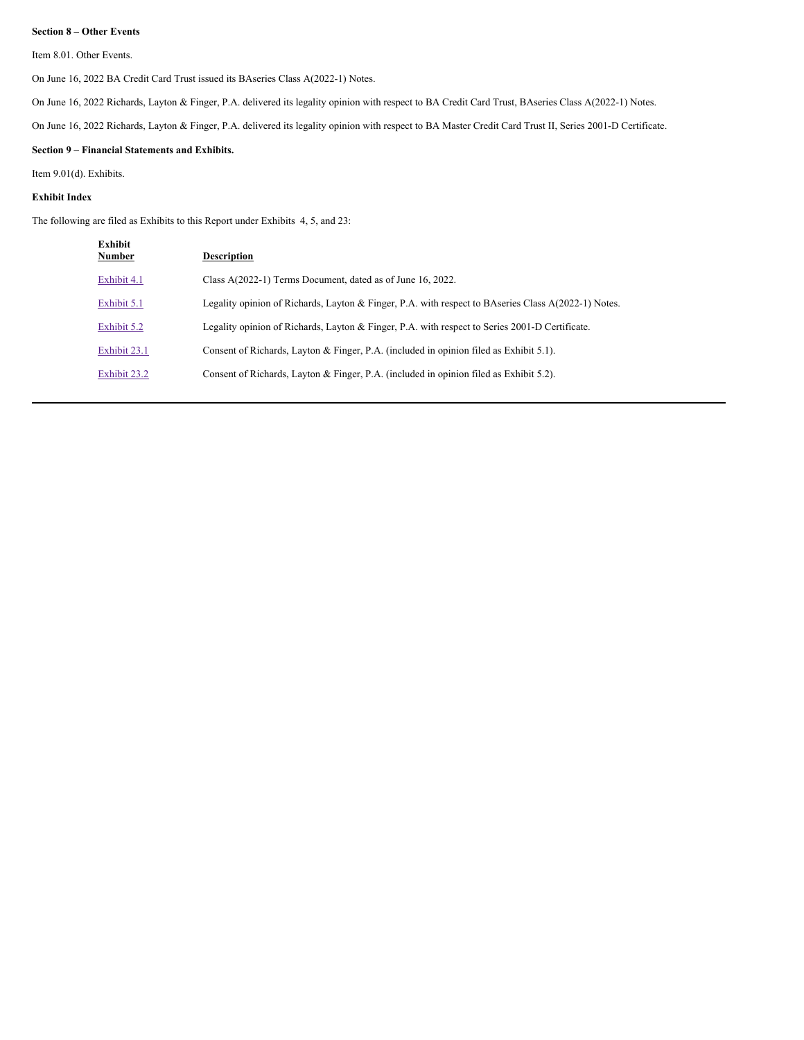#### **Section 8 – Other Events**

Item 8.01. Other Events.

On June 16, 2022 BA Credit Card Trust issued its BAseries Class A(2022-1) Notes.

On June 16, 2022 Richards, Layton & Finger, P.A. delivered its legality opinion with respect to BA Credit Card Trust, BAseries Class A(2022-1) Notes.

On June 16, 2022 Richards, Layton & Finger, P.A. delivered its legality opinion with respect to BA Master Credit Card Trust II, Series 2001-D Certificate.

# **Section 9 – Financial Statements and Exhibits.**

Item 9.01(d). Exhibits.

#### **Exhibit Index**

The following are filed as Exhibits to this Report under Exhibits 4, 5, and 23:

| Exhibit<br><b>Number</b> | <b>Description</b>                                                                                  |
|--------------------------|-----------------------------------------------------------------------------------------------------|
| Exhibit 4.1              | Class $A(2022-1)$ Terms Document, dated as of June 16, 2022.                                        |
| Exhibit 5.1              | Legality opinion of Richards, Layton & Finger, P.A. with respect to BAseries Class A(2022-1) Notes. |
| Exhibit 5.2              | Legality opinion of Richards, Layton & Finger, P.A. with respect to Series 2001-D Certificate.      |
| Exhibit 23.1             | Consent of Richards, Layton & Finger, P.A. (included in opinion filed as Exhibit 5.1).              |
| Exhibit 23.2             | Consent of Richards, Layton & Finger, P.A. (included in opinion filed as Exhibit 5.2).              |
|                          |                                                                                                     |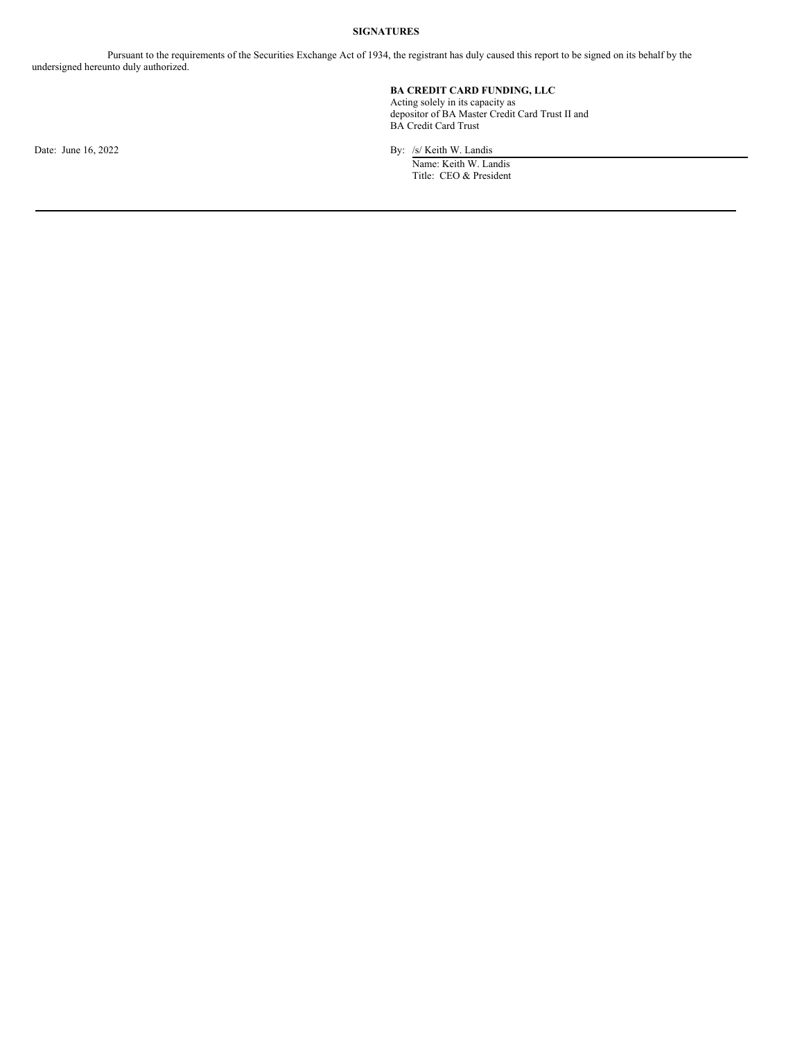#### **SIGNATURES**

Pursuant to the requirements of the Securities Exchange Act of 1934, the registrant has duly caused this report to be signed on its behalf by the undersigned hereunto duly authorized.

# **BA CREDIT CARD FUNDING, LLC**

Acting solely in its capacity as depositor of BA Master Credit Card Trust II and BA Credit Card Trust

Date: June 16, 2022 By: /s/ Keith W. Landis Name: Keith W. Landis

Title: CEO & President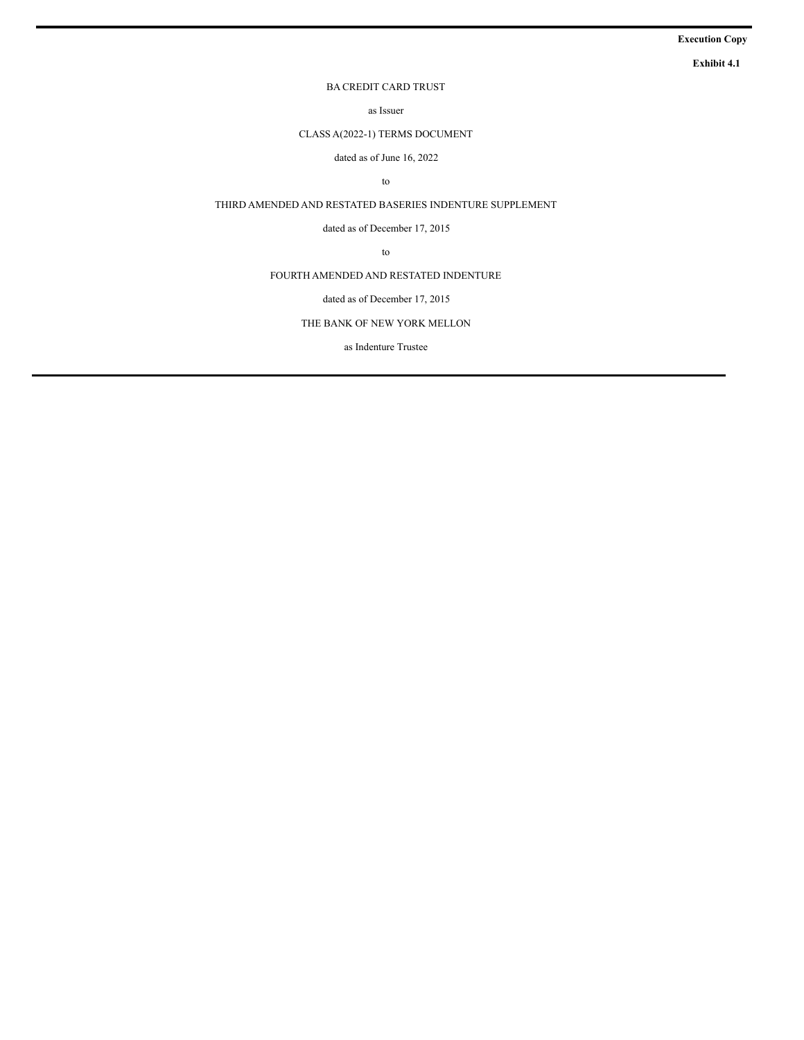# **Execution Copy**

**Exhibit 4.1**

# BA CREDIT CARD TRUST

as Issuer

CLASS A(2022-1) TERMS DOCUMENT

dated as of June 16, 2022

to

THIRD AMENDED AND RESTATED BASERIES INDENTURE SUPPLEMENT

dated as of December 17, 2015

to

FOURTH AMENDED AND RESTATED INDENTURE

# dated as of December 17, 2015

THE BANK OF NEW YORK MELLON

as Indenture Trustee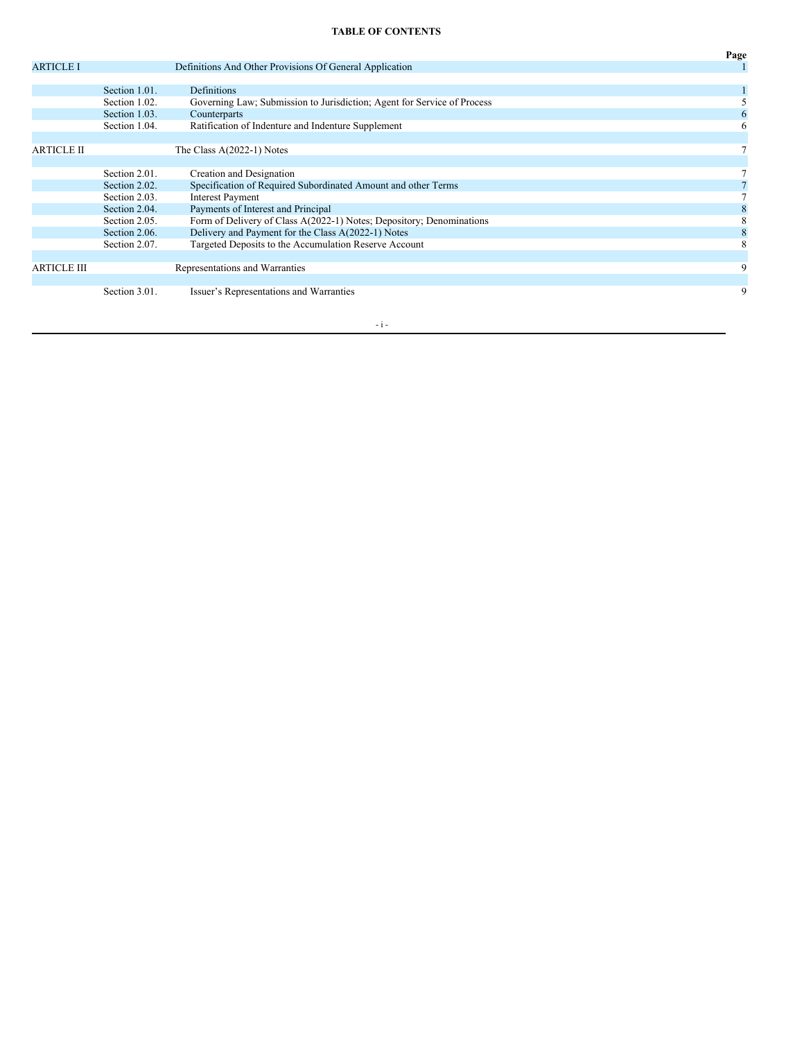# **TABLE OF CONTENTS**

|                    |               |                                                                         | Page |
|--------------------|---------------|-------------------------------------------------------------------------|------|
| <b>ARTICLE I</b>   |               | Definitions And Other Provisions Of General Application                 |      |
|                    |               |                                                                         |      |
|                    | Section 1.01. | Definitions                                                             |      |
|                    | Section 1.02. | Governing Law; Submission to Jurisdiction; Agent for Service of Process |      |
|                    | Section 1.03. | Counterparts                                                            |      |
|                    | Section 1.04. | Ratification of Indenture and Indenture Supplement                      | 6    |
|                    |               |                                                                         |      |
| <b>ARTICLE II</b>  |               | The Class $A(2022-1)$ Notes                                             |      |
|                    |               |                                                                         |      |
|                    | Section 2.01. | Creation and Designation                                                |      |
|                    | Section 2.02. | Specification of Required Subordinated Amount and other Terms           |      |
|                    | Section 2.03. | <b>Interest Payment</b>                                                 |      |
|                    | Section 2.04. | Payments of Interest and Principal                                      |      |
|                    | Section 2.05. | Form of Delivery of Class A(2022-1) Notes; Depository; Denominations    |      |
|                    | Section 2.06. | Delivery and Payment for the Class A(2022-1) Notes                      |      |
|                    | Section 2.07. | Targeted Deposits to the Accumulation Reserve Account                   | 8    |
|                    |               |                                                                         |      |
| <b>ARTICLE III</b> |               | Representations and Warranties                                          | 9    |
|                    |               |                                                                         |      |
|                    | Section 3.01. | Issuer's Representations and Warranties                                 | 9    |
|                    |               |                                                                         |      |

 $\sim$ i $-$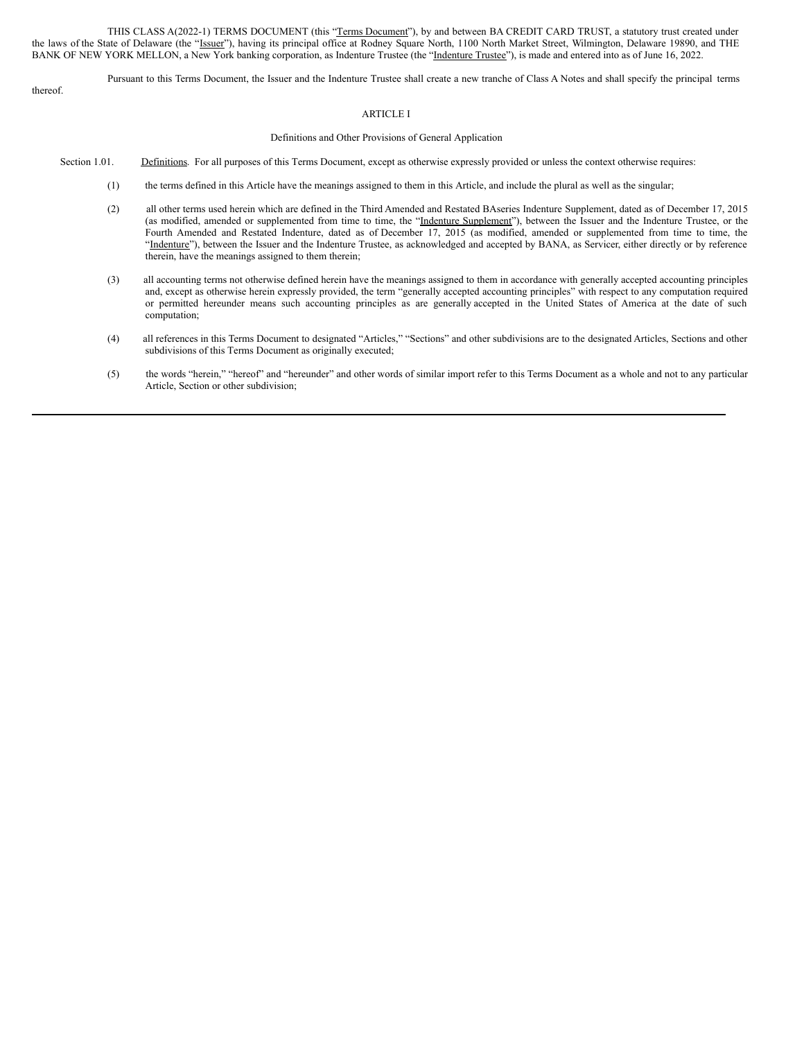THIS CLASS A(2022-1) TERMS DOCUMENT (this "Terms Document"), by and between BA CREDIT CARD TRUST, a statutory trust created under the laws of the State of Delaware (the "Issuer"), having its principal office at Rodney Square North, 1100 North Market Street, Wilmington, Delaware 19890, and THE BANK OF NEW YORK MELLON, a New York banking corporation, as Indenture Trustee (the "Indenture Trustee"), is made and entered into as of June 16, 2022.

Pursuant to this Terms Document, the Issuer and the Indenture Trustee shall create a new tranche of Class A Notes and shall specify the principal terms

# thereof.

### ARTICLE I

#### Definitions and Other Provisions of General Application

- Section 1.01. Definitions. For all purposes of this Terms Document, except as otherwise expressly provided or unless the context otherwise requires:
	- (1) the terms defined in this Article have the meanings assigned to them in this Article, and include the plural as well as the singular;
	- (2) all other terms used herein which are defined in the Third Amended and Restated BAseries Indenture Supplement, dated as of December 17, 2015 (as modified, amended or supplemented from time to time, the "Indenture Supplement"), between the Issuer and the Indenture Trustee, or the Fourth Amended and Restated Indenture, dated as of December 17, 2015 (as modified, amended or supplemented from time to time, the "Indenture"), between the Issuer and the Indenture Trustee, as acknowledged and accepted by BANA, as Servicer, either directly or by reference therein, have the meanings assigned to them therein;
	- (3) all accounting terms not otherwise defined herein have the meanings assigned to them in accordance with generally accepted accounting principles and, except as otherwise herein expressly provided, the term "generally accepted accounting principles" with respect to any computation required or permitted hereunder means such accounting principles as are generally accepted in the United States of America at the date of such computation;
	- (4) all references in this Terms Document to designated "Articles," "Sections" and other subdivisions are to the designated Articles, Sections and other subdivisions of this Terms Document as originally executed;
	- (5) the words "herein," "hereof" and "hereunder" and other words of similar import refer to this Terms Document as a whole and not to any particular Article, Section or other subdivision;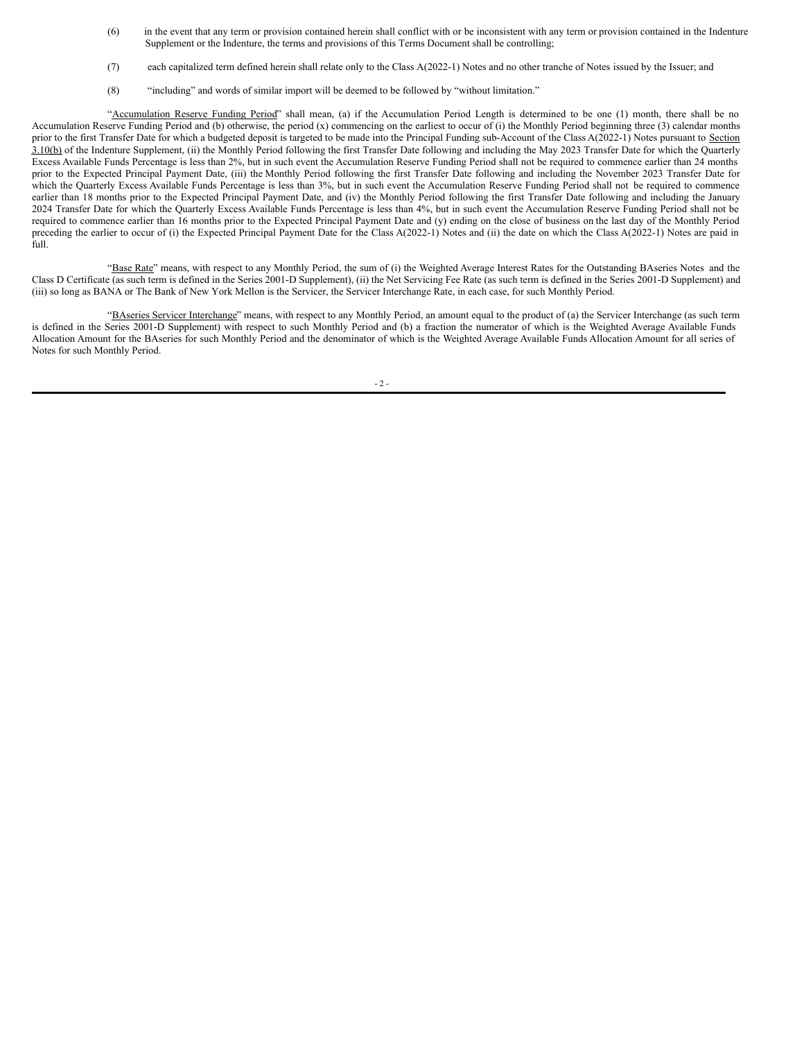- (6) in the event that any term or provision contained herein shall conflict with or be inconsistent with any term or provision contained in the Indenture Supplement or the Indenture, the terms and provisions of this Terms Document shall be controlling;
- (7) each capitalized term defined herein shall relate only to the Class A(2022-1) Notes and no other tranche of Notes issued by the Issuer; and
- (8) "including" and words of similar import will be deemed to be followed by "without limitation."

"Accumulation Reserve Funding Period" shall mean, (a) if the Accumulation Period Length is determined to be one (1) month, there shall be no Accumulation Reserve Funding Period and (b) otherwise, the period (x) commencing on the earliest to occur of (i) the Monthly Period beginning three (3) calendar months prior to the first Transfer Date for which a budgeted deposit is targeted to be made into the Principal Funding sub-Account of the Class A(2022-1) Notes pursuant to Section 3.10(b) of the Indenture Supplement, (ii) the Monthly Period following the first Transfer Date following and including the May 2023 Transfer Date for which the Quarterly Excess Available Funds Percentage is less than 2%, but in such event the Accumulation Reserve Funding Period shall not be required to commence earlier than 24 months prior to the Expected Principal Payment Date, (iii) the Monthly Period following the first Transfer Date following and including the November 2023 Transfer Date for which the Quarterly Excess Available Funds Percentage is less than 3%, but in such event the Accumulation Reserve Funding Period shall not be required to commence earlier than 18 months prior to the Expected Principal Payment Date, and (iv) the Monthly Period following the first Transfer Date following and including the January 2024 Transfer Date for which the Quarterly Excess Available Funds Percentage is less than 4%, but in such event the Accumulation Reserve Funding Period shall not be required to commence earlier than 16 months prior to the Expected Principal Payment Date and (y) ending on the close of business on the last day of the Monthly Period preceding the earlier to occur of (i) the Expected Principal Payment Date for the Class A(2022-1) Notes and (ii) the date on which the Class A(2022-1) Notes are paid in full.

"Base Rate" means, with respect to any Monthly Period, the sum of (i) the Weighted Average Interest Rates for the Outstanding BAseries Notes and the Class D Certificate (as such term is defined in the Series 2001‑D Supplement), (ii) the Net Servicing Fee Rate (as such term is defined in the Series 2001‑D Supplement) and (iii) so long as BANA or The Bank of New York Mellon is the Servicer, the Servicer Interchange Rate, in each case, for such Monthly Period.

"BAseries Servicer Interchange" means, with respect to any Monthly Period, an amount equal to the product of (a) the Servicer Interchange (as such term is defined in the Series 2001-D Supplement) with respect to such Monthly Period and (b) a fraction the numerator of which is the Weighted Average Available Funds Allocation Amount for the BAseries for such Monthly Period and the denominator of which is the Weighted Average Available Funds Allocation Amount for all series of Notes for such Monthly Period.

 $-2 -$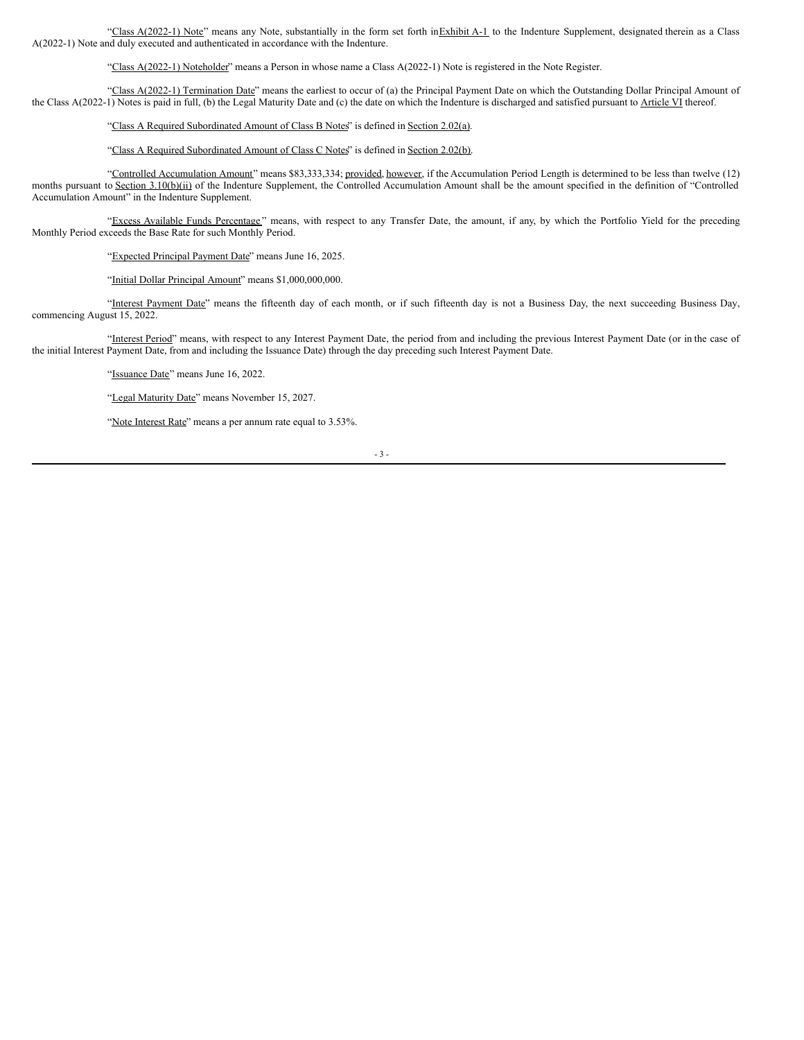"Class A(2022-1) Note" means any Note, substantially in the form set forth inExhibit A-1 to the Indenture Supplement, designated therein as a Class A(2022-1) Note and duly executed and authenticated in accordance with the Indenture.

"Class A(2022-1) Noteholder" means a Person in whose name a Class A(2022-1) Note is registered in the Note Register.

"Class A(2022-1) Termination Date" means the earliest to occur of (a) the Principal Payment Date on which the Outstanding Dollar Principal Amount of the Class A(2022-1) Notes is paid in full, (b) the Legal Maturity Date and (c) the date on which the Indenture is discharged and satisfied pursuant to Article VI thereof.

"Class A Required Subordinated Amount of Class B Notes" is defined in Section 2.02(a).

"Class A Required Subordinated Amount of Class C Notes" is defined in Section 2.02(b).

"Controlled Accumulation Amount" means \$83,333,334; provided, however, if the Accumulation Period Length is determined to be less than twelve (12) months pursuant to Section 3.10(b)(ii) of the Indenture Supplement, the Controlled Accumulation Amount shall be the amount specified in the definition of "Controlled Accumulation Amount" in the Indenture Supplement.

"Excess Available Funds Percentage" means, with respect to any Transfer Date, the amount, if any, by which the Portfolio Yield for the preceding Monthly Period exceeds the Base Rate for such Monthly Period.

"Expected Principal Payment Date" means June 16, 2025.

"Initial Dollar Principal Amount" means \$1,000,000,000.

"Interest Payment Date" means the fifteenth day of each month, or if such fifteenth day is not a Business Day, the next succeeding Business Day, commencing August 15, 2022.

"Interest Period" means, with respect to any Interest Payment Date, the period from and including the previous Interest Payment Date (or in the case of the initial Interest Payment Date, from and including the Issuance Date) through the day preceding such Interest Payment Date.

"Issuance Date" means June 16, 2022.

"Legal Maturity Date" means November 15, 2027.

"Note Interest Rate" means a per annum rate equal to 3.53%.

- 3 -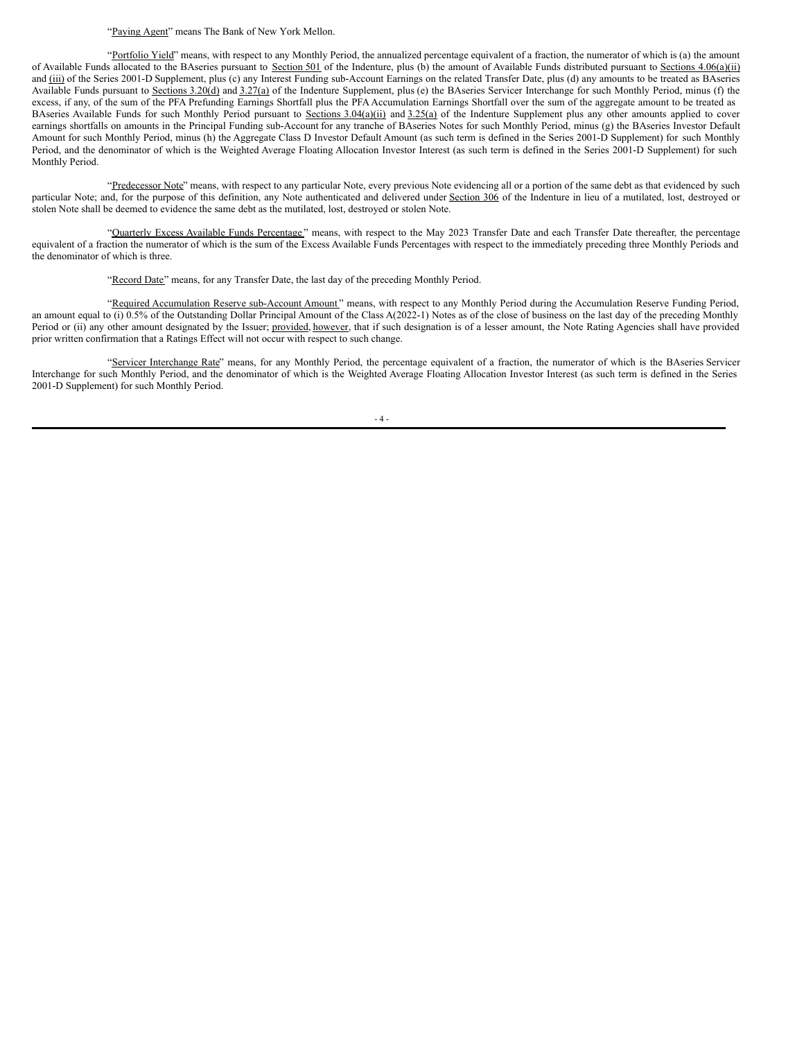#### "Paying Agent" means The Bank of New York Mellon.

"Portfolio Yield" means, with respect to any Monthly Period, the annualized percentage equivalent of a fraction, the numerator of which is (a) the amount of Available Funds allocated to the BAseries pursuant to Section 501 of the Indenture, plus (b) the amount of Available Funds distributed pursuant to Sections 4.06(a)(ii) and (iii) of the Series 2001-D Supplement, plus (c) any Interest Funding sub-Account Earnings on the related Transfer Date, plus (d) any amounts to be treated as BAseries Available Funds pursuant to Sections 3.20(d) and 3.27(a) of the Indenture Supplement, plus (e) the BAseries Servicer Interchange for such Monthly Period, minus (f) the excess, if any, of the sum of the PFA Prefunding Earnings Shortfall plus the PFA Accumulation Earnings Shortfall over the sum of the aggregate amount to be treated as BAseries Available Funds for such Monthly Period pursuant to Sections 3.04(a)(ii) and 3.25(a) of the Indenture Supplement plus any other amounts applied to cover earnings shortfalls on amounts in the Principal Funding sub-Account for any tranche of BAseries Notes for such Monthly Period, minus (g) the BAseries Investor Default Amount for such Monthly Period, minus (h) the Aggregate Class D Investor Default Amount (as such term is defined in the Series 2001-D Supplement) for such Monthly Period, and the denominator of which is the Weighted Average Floating Allocation Investor Interest (as such term is defined in the Series 2001-D Supplement) for such Monthly Period.

"Predecessor Note" means, with respect to any particular Note, every previous Note evidencing all or a portion of the same debt as that evidenced by such particular Note; and, for the purpose of this definition, any Note authenticated and delivered under Section 306 of the Indenture in lieu of a mutilated, lost, destroyed or stolen Note shall be deemed to evidence the same debt as the mutilated, lost, destroyed or stolen Note.

"Quarterly Excess Available Funds Percentage" means, with respect to the May 2023 Transfer Date and each Transfer Date thereafter, the percentage equivalent of a fraction the numerator of which is the sum of the Excess Available Funds Percentages with respect to the immediately preceding three Monthly Periods and the denominator of which is three.

"Record Date" means, for any Transfer Date, the last day of the preceding Monthly Period.

"Required Accumulation Reserve sub-Account Amount" means, with respect to any Monthly Period during the Accumulation Reserve Funding Period, an amount equal to (i) 0.5% of the Outstanding Dollar Principal Amount of the Class A(2022-1) Notes as of the close of business on the last day of the preceding Monthly Period or (ii) any other amount designated by the Issuer; provided, however, that if such designation is of a lesser amount, the Note Rating Agencies shall have provided prior written confirmation that a Ratings Effect will not occur with respect to such change.

"Servicer Interchange Rate" means, for any Monthly Period, the percentage equivalent of a fraction, the numerator of which is the BAseries Servicer Interchange for such Monthly Period, and the denominator of which is the Weighted Average Floating Allocation Investor Interest (as such term is defined in the Series 2001‑D Supplement) for such Monthly Period.

 $-4-$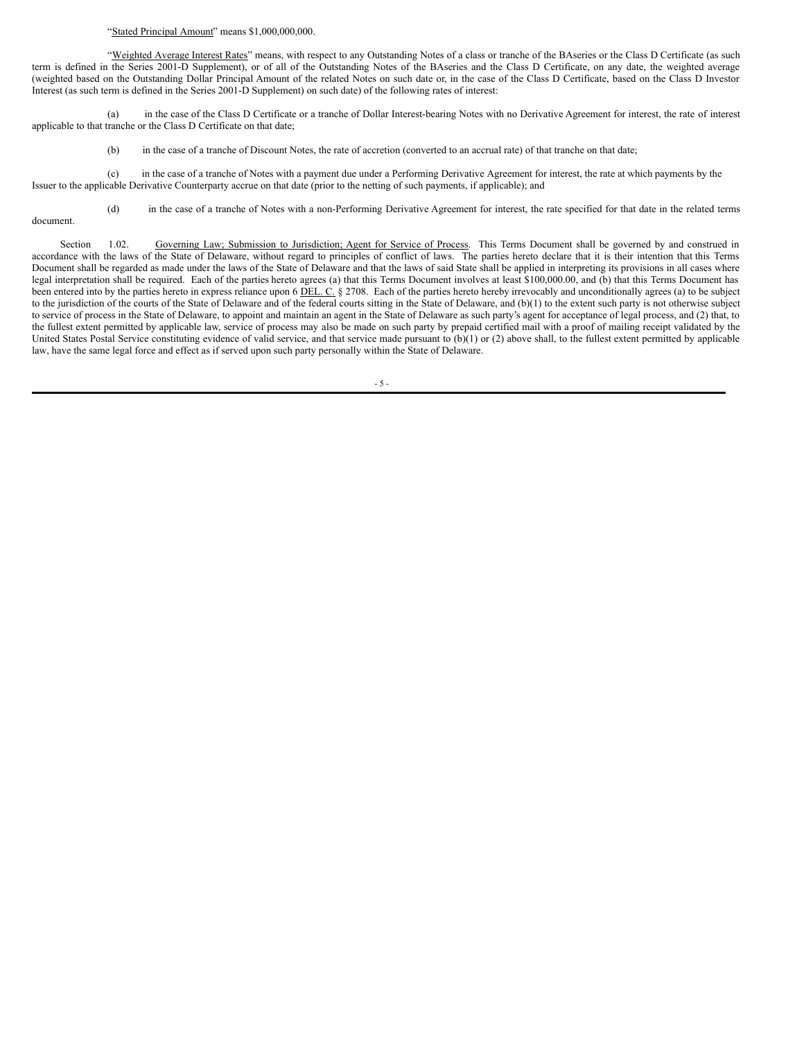#### <span id="page-9-0"></span>"Stated Principal Amount" means \$1,000,000,000.

"Weighted Average Interest Rates" means, with respect to any Outstanding Notes of a class or tranche of the BAseries or the Class D Certificate (as such term is defined in the Series 2001‑D Supplement), or of all of the Outstanding Notes of the BAseries and the Class D Certificate, on any date, the weighted average (weighted based on the Outstanding Dollar Principal Amount of the related Notes on such date or, in the case of the Class D Certificate, based on the Class D Investor Interest (as such term is defined in the Series 2001‑D Supplement) on such date) of the following rates of interest:

(a) in the case of the Class D Certificate or a tranche of Dollar Interest-bearing Notes with no Derivative Agreement for interest, the rate of interest applicable to that tranche or the Class D Certificate on that date;

(b) in the case of a tranche of Discount Notes, the rate of accretion (converted to an accrual rate) of that tranche on that date;

(c) in the case of a tranche of Notes with a payment due under a Performing Derivative Agreement for interest, the rate at which payments by the Issuer to the applicable Derivative Counterparty accrue on that date (prior to the netting of such payments, if applicable); and

(d) in the case of a tranche of Notes with a non-Performing Derivative Agreement for interest, the rate specified for that date in the related terms document.

Section 1.02. Governing Law; Submission to Jurisdiction; Agent for Service of Process. This Terms Document shall be governed by and construed in accordance with the laws of the State of Delaware, without regard to principles of conflict of laws. The parties hereto declare that it is their intention that this Terms Document shall be regarded as made under the laws of the State of Delaware and that the laws of said State shall be applied in interpreting its provisions in all cases where legal interpretation shall be required. Each of the parties hereto agrees (a) that this Terms Document involves at least \$100,000.00, and (b) that this Terms Document has been entered into by the parties hereto in express reliance upon 6 DEL. C. § 2708. Each of the parties hereto hereby irrevocably and unconditionally agrees (a) to be subject to the jurisdiction of the courts of the State of Delaware and of the federal courts sitting in the State of Delaware, and (b)(1) to the extent such party is not otherwise subject to service of process in the State of Delaware, to appoint and maintain an agent in the State of Delaware as such party's agent for acceptance of legal process, and (2) that, to the fullest extent permitted by applicable law, service of process may also be made on such party by prepaid certified mail with a proof of mailing receipt validated by the United States Postal Service constituting evidence of valid service, and that service made pursuant to (b)(1) or (2) above shall, to the fullest extent permitted by applicable law, have the same legal force and effect as if served upon such party personally within the State of Delaware.

- 5 -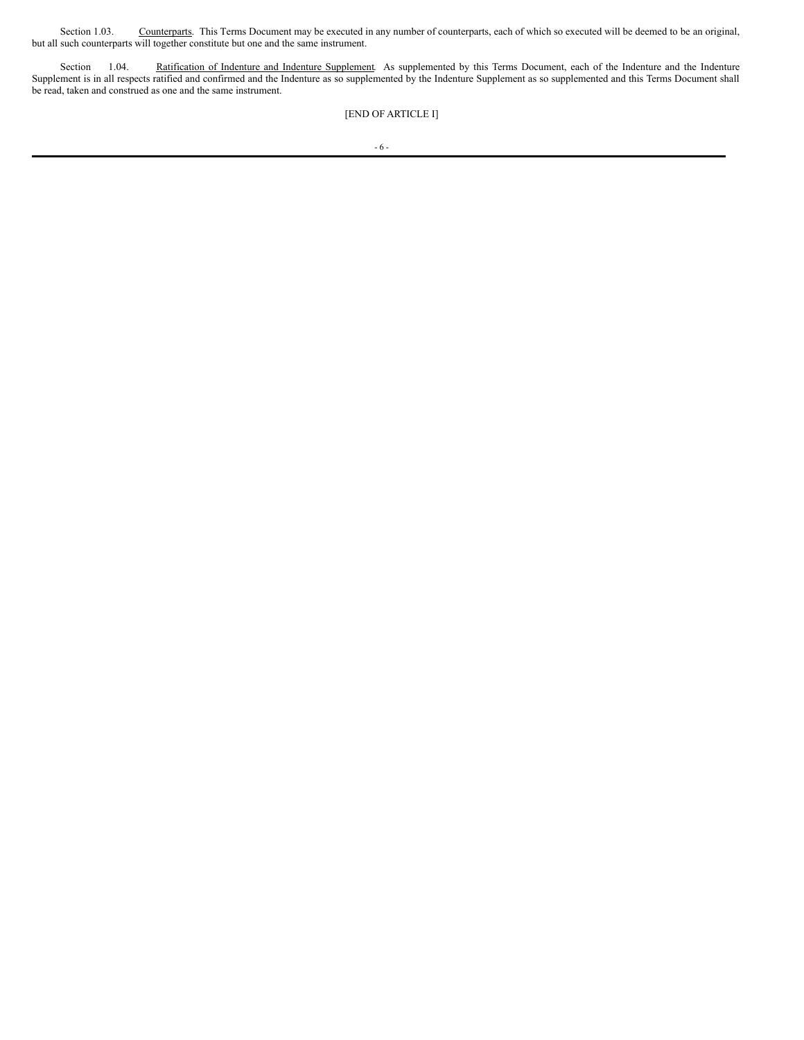Section 1.03. Counterparts. This Terms Document may be executed in any number of counterparts, each of which so executed will be deemed to be an original, but all such counterparts will together constitute but one and the same instrument.

Section 1.04. Ratification of Indenture and Indenture Supplement. As supplemented by this Terms Document, each of the Indenture and the Indenture Supplement is in all respects ratified and confirmed and the Indenture as so supplemented by the Indenture Supplement as so supplemented and this Terms Document shall be read, taken and construed as one and the same instrument.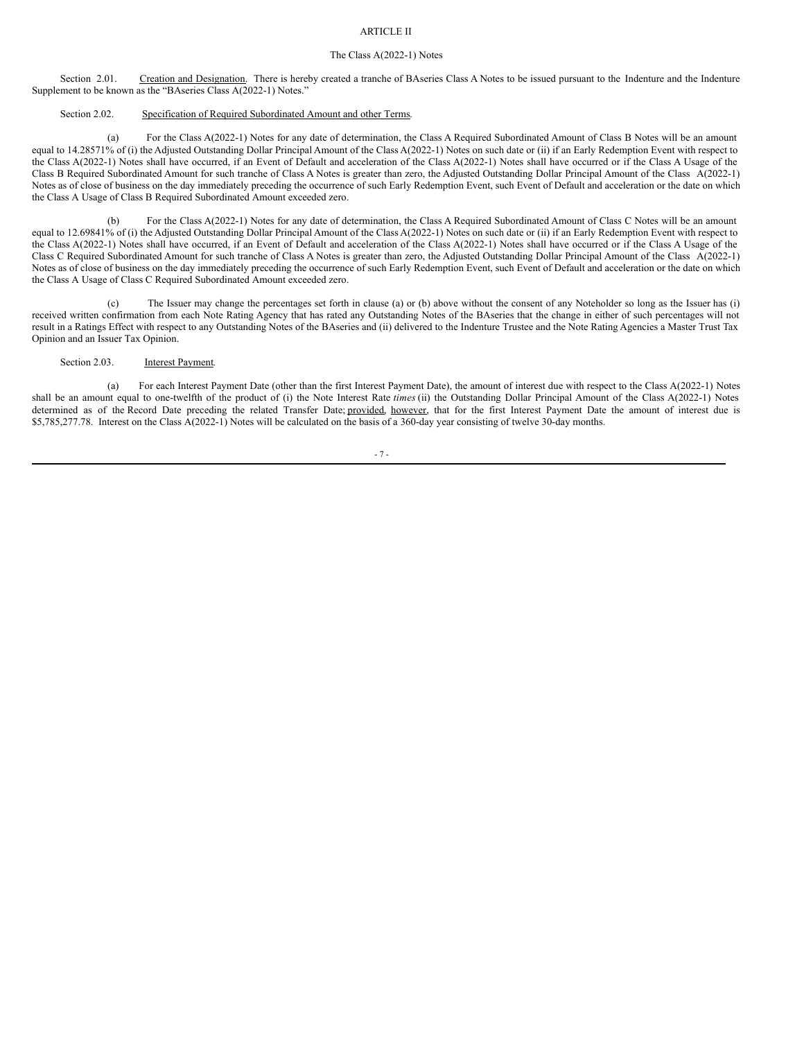### ARTICLE II

#### The Class A(2022-1) Notes

Section 2.01. Creation and Designation. There is hereby created a tranche of BAseries Class A Notes to be issued pursuant to the Indenture and the Indenture Supplement to be known as the "BAseries Class A(2022-1) Notes."

#### Section 2.02. Specification of Required Subordinated Amount and other Terms.

(a) For the Class A(2022-1) Notes for any date of determination, the Class A Required Subordinated Amount of Class B Notes will be an amount equal to 14.28571% of (i) the Adjusted Outstanding Dollar Principal Amount of the Class A(2022-1) Notes on such date or (ii) if an Early Redemption Event with respect to the Class A(2022-1) Notes shall have occurred, if an Event of Default and acceleration of the Class A(2022-1) Notes shall have occurred or if the Class A Usage of the Class B Required Subordinated Amount for such tranche of Class A Notes is greater than zero, the Adjusted Outstanding Dollar Principal Amount of the Class A(2022-1) Notes as of close of business on the day immediately preceding the occurrence of such Early Redemption Event, such Event of Default and acceleration or the date on which the Class A Usage of Class B Required Subordinated Amount exceeded zero.

For the Class A(2022-1) Notes for any date of determination, the Class A Required Subordinated Amount of Class C Notes will be an amount equal to 12.69841% of (i) the Adjusted Outstanding Dollar Principal Amount of the Class A(2022-1) Notes on such date or (ii) if an Early Redemption Event with respect to the Class A(2022-1) Notes shall have occurred, if an Event of Default and acceleration of the Class A(2022-1) Notes shall have occurred or if the Class A Usage of the Class C Required Subordinated Amount for such tranche of Class A Notes is greater than zero, the Adjusted Outstanding Dollar Principal Amount of the Class A(2022-1) Notes as of close of business on the day immediately preceding the occurrence of such Early Redemption Event, such Event of Default and acceleration or the date on which the Class A Usage of Class C Required Subordinated Amount exceeded zero.

The Issuer may change the percentages set forth in clause (a) or (b) above without the consent of any Noteholder so long as the Issuer has (i) received written confirmation from each Note Rating Agency that has rated any Outstanding Notes of the BAseries that the change in either of such percentages will not result in a Ratings Effect with respect to any Outstanding Notes of the BAseries and (ii) delivered to the Indenture Trustee and the Note Rating Agencies a Master Trust Tax Opinion and an Issuer Tax Opinion.

#### Section 2.03. **Interest Payment.**

(a) For each Interest Payment Date (other than the first Interest Payment Date), the amount of interest due with respect to the Class A(2022-1) Notes shall be an amount equal to one-twelfth of the product of (i) the Note Interest Rate *times* (ii) the Outstanding Dollar Principal Amount of the Class A(2022-1) Notes determined as of the Record Date preceding the related Transfer Date; provided, however, that for the first Interest Payment Date the amount of interest due is \$5,785,277.78. Interest on the Class A(2022-1) Notes will be calculated on the basis of a 360-day year consisting of twelve 30-day months.

#### - 7 -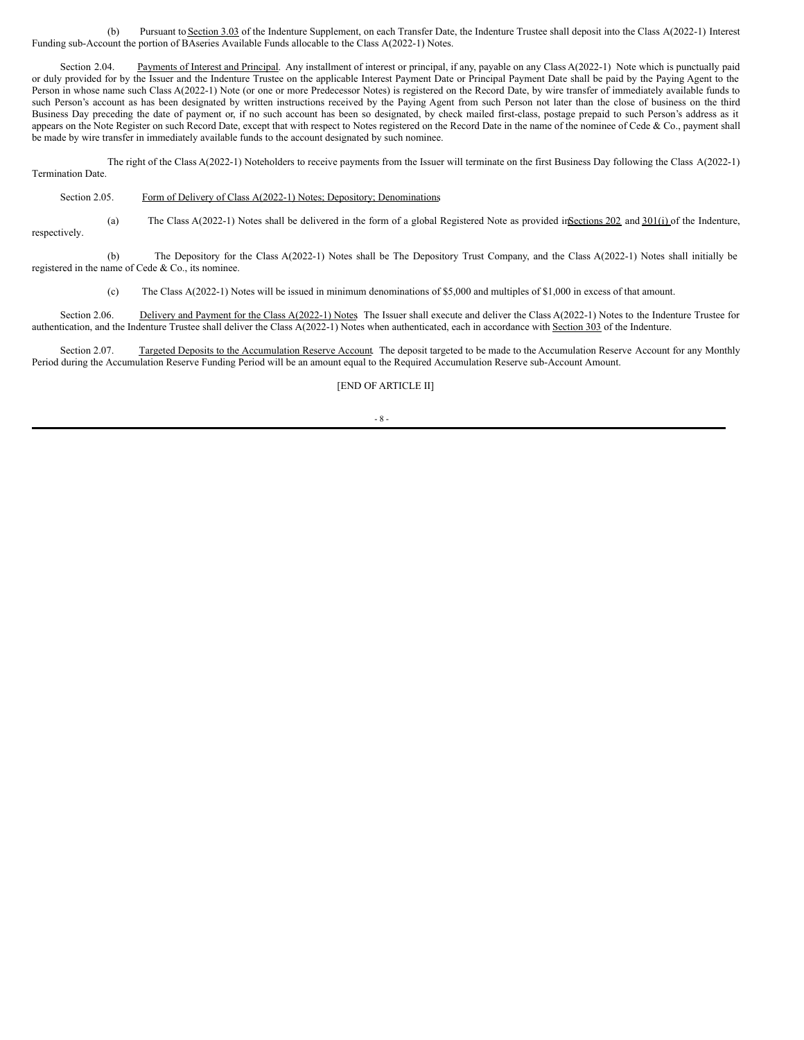(b) Pursuant to Section 3.03 of the Indenture Supplement, on each Transfer Date, the Indenture Trustee shall deposit into the Class A(2022-1) Interest Funding sub-Account the portion of BAseries Available Funds allocable to the Class A(2022-1) Notes.

Section 2.04. Payments of Interest and Principal. Any installment of interest or principal, if any, payable on any Class A(2022-1) Note which is punctually paid or duly provided for by the Issuer and the Indenture Trustee on the applicable Interest Payment Date or Principal Payment Date shall be paid by the Paying Agent to the Person in whose name such Class A(2022-1) Note (or one or more Predecessor Notes) is registered on the Record Date, by wire transfer of immediately available funds to such Person's account as has been designated by written instructions received by the Paying Agent from such Person not later than the close of business on the third Business Day preceding the date of payment or, if no such account has been so designated, by check mailed first-class, postage prepaid to such Person's address as it appears on the Note Register on such Record Date, except that with respect to Notes registered on the Record Date in the name of the nominee of Cede & Co., payment shall be made by wire transfer in immediately available funds to the account designated by such nominee.

The right of the Class A(2022-1) Noteholders to receive payments from the Issuer will terminate on the first Business Day following the Class A(2022-1) Termination Date.

Section 2.05. Form of Delivery of Class A(2022-1) Notes; Depository; Denominations.

(a) The Class A(2022-1) Notes shall be delivered in the form of a global Registered Note as provided in Sections 202 and  $301(i)$  of the Indenture, respectively.

(b) The Depository for the Class A(2022-1) Notes shall be The Depository Trust Company, and the Class A(2022-1) Notes shall initially be registered in the name of Cede & Co., its nominee.

(c) The Class A(2022-1) Notes will be issued in minimum denominations of \$5,000 and multiples of \$1,000 in excess of that amount.

Section 2.06. Delivery and Payment for the Class A(2022-1) Notes. The Issuer shall execute and deliver the Class A(2022-1) Notes to the Indenture Trustee for authentication, and the Indenture Trustee shall deliver the Class A(2022-1) Notes when authenticated, each in accordance with Section 303 of the Indenture.

Section 2.07. Targeted Deposits to the Accumulation Reserve Account. The deposit targeted to be made to the Accumulation Reserve Account for any Monthly Period during the Accumulation Reserve Funding Period will be an amount equal to the Required Accumulation Reserve sub-Account Amount.

[END OF ARTICLE II]

#### - 8 -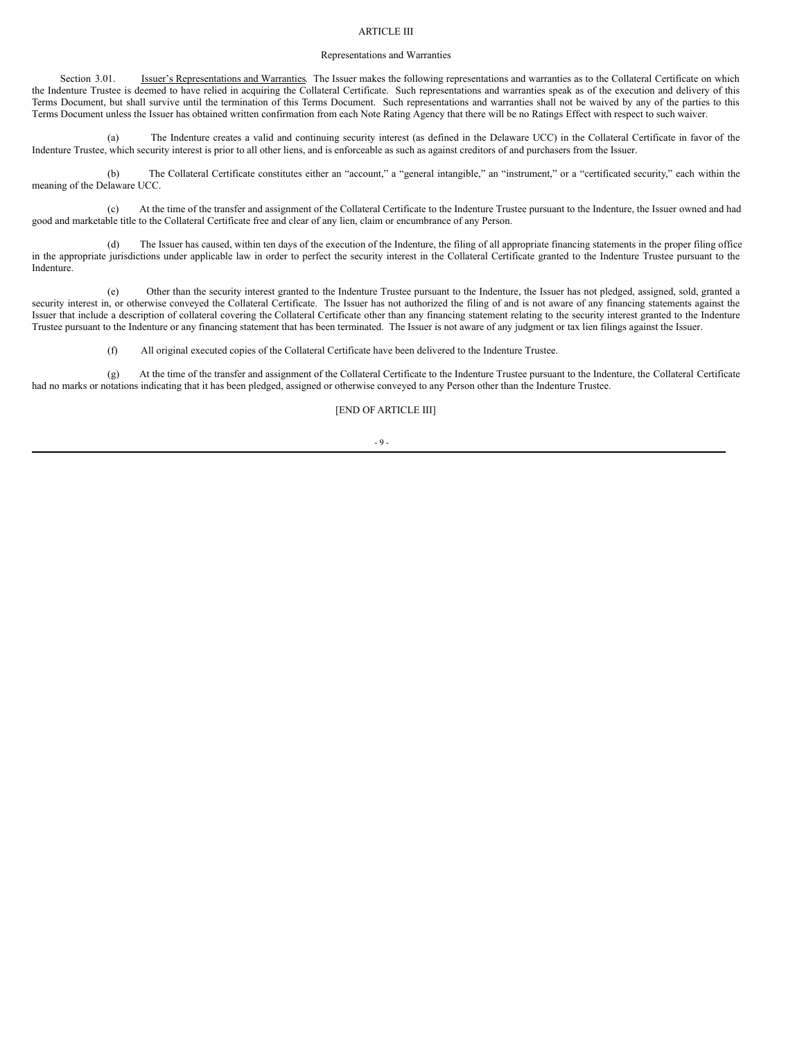#### ARTICLE III

#### Representations and Warranties

Section 3.01. **Issuer's Representations and Warranties**. The Issuer makes the following representations and warranties as to the Collateral Certificate on which the Indenture Trustee is deemed to have relied in acquiring the Collateral Certificate. Such representations and warranties speak as of the execution and delivery of this Terms Document, but shall survive until the termination of this Terms Document. Such representations and warranties shall not be waived by any of the parties to this Terms Document unless the Issuer has obtained written confirmation from each Note Rating Agency that there will be no Ratings Effect with respect to such waiver.

(a) The Indenture creates a valid and continuing security interest (as defined in the Delaware UCC) in the Collateral Certificate in favor of the Indenture Trustee, which security interest is prior to all other liens, and is enforceable as such as against creditors of and purchasers from the Issuer.

(b) The Collateral Certificate constitutes either an "account," a "general intangible," an "instrument," or a "certificated security," each within the meaning of the Delaware UCC.

(c) At the time of the transfer and assignment of the Collateral Certificate to the Indenture Trustee pursuant to the Indenture, the Issuer owned and had good and marketable title to the Collateral Certificate free and clear of any lien, claim or encumbrance of any Person.

(d) The Issuer has caused, within ten days of the execution of the Indenture, the filing of all appropriate financing statements in the proper filing office in the appropriate jurisdictions under applicable law in order to perfect the security interest in the Collateral Certificate granted to the Indenture Trustee pursuant to the Indenture.

(e) Other than the security interest granted to the Indenture Trustee pursuant to the Indenture, the Issuer has not pledged, assigned, sold, granted a security interest in, or otherwise conveyed the Collateral Certificate. The Issuer has not authorized the filing of and is not aware of any financing statements against the Issuer that include a description of collateral covering the Collateral Certificate other than any financing statement relating to the security interest granted to the Indenture Trustee pursuant to the Indenture or any financing statement that has been terminated. The Issuer is not aware of any judgment or tax lien filings against the Issuer.

(f) All original executed copies of the Collateral Certificate have been delivered to the Indenture Trustee.

(g) At the time of the transfer and assignment of the Collateral Certificate to the Indenture Trustee pursuant to the Indenture, the Collateral Certificate had no marks or notations indicating that it has been pledged, assigned or otherwise conveyed to any Person other than the Indenture Trustee.

[END OF ARTICLE III]

#### $-9 -$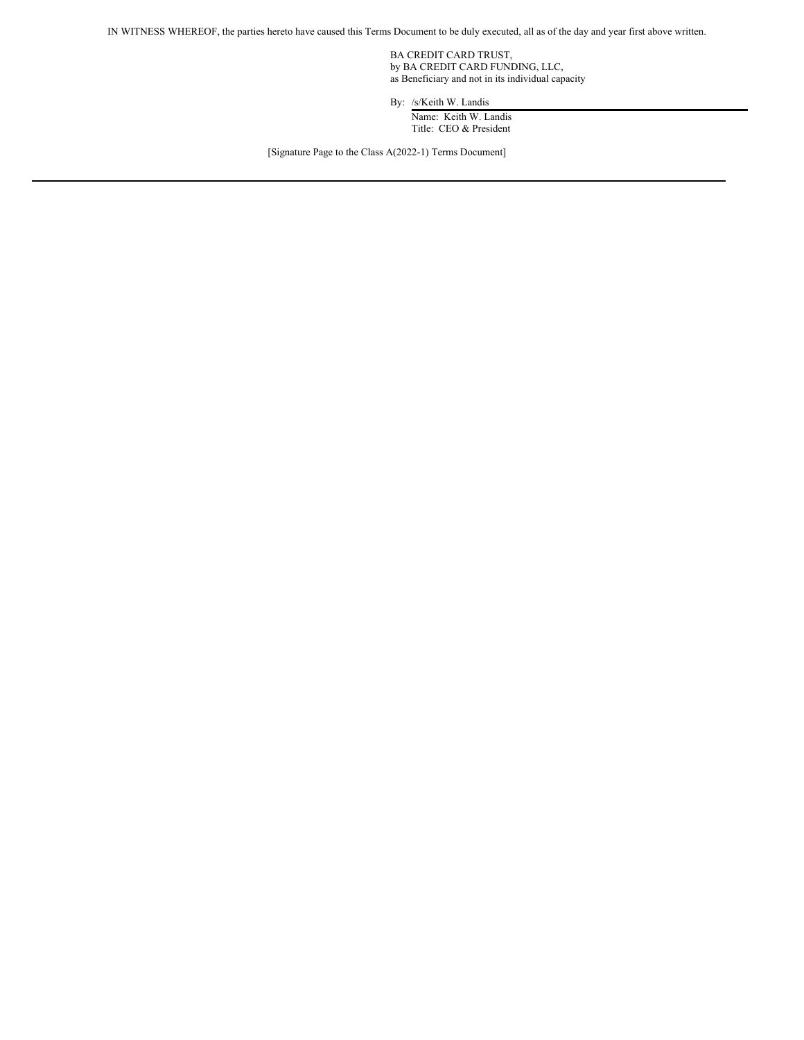IN WITNESS WHEREOF, the parties hereto have caused this Terms Document to be duly executed, all as of the day and year first above written.

BA CREDIT CARD TRUST, by BA CREDIT CARD FUNDING, LLC, as Beneficiary and not in its individual capacity

By: /s/Keith W. Landis

Name: Keith W. Landis Title: CEO & President

[Signature Page to the Class A(2022-1) Terms Document]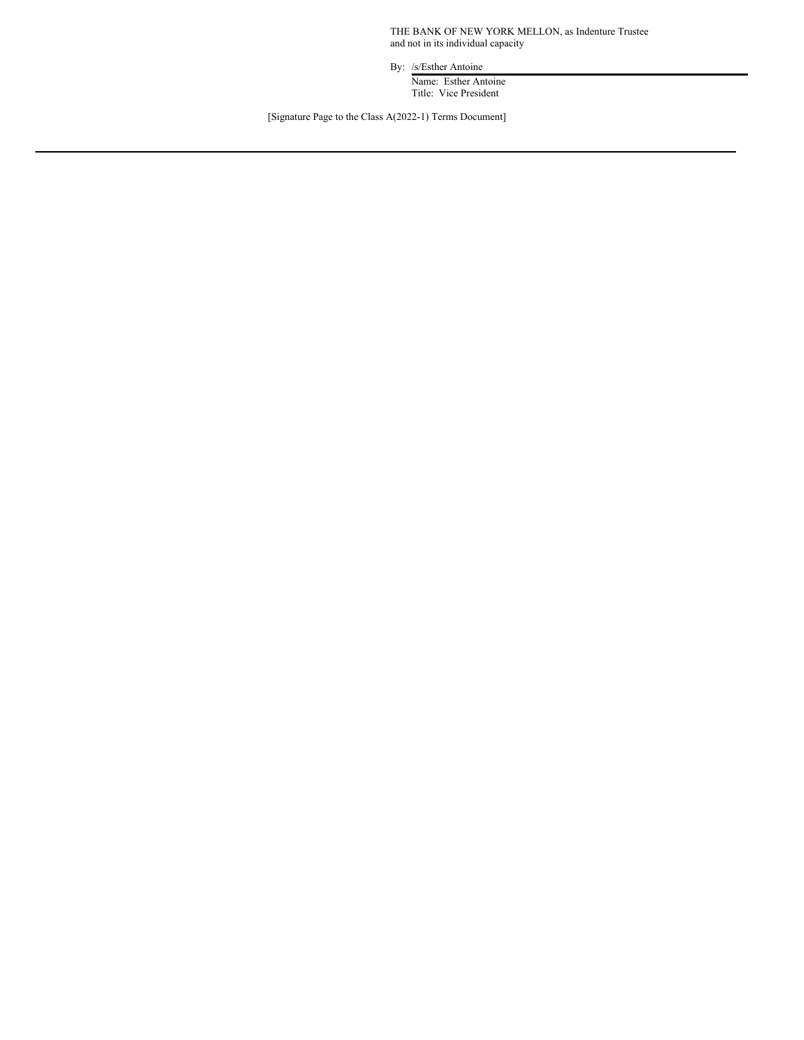THE BANK OF NEW YORK MELLON, as Indenture Trustee and not in its individual capacity

By: /s/Esther Antoine

Name: Esther Antoine Title: Vice President

[Signature Page to the Class A(2022-1) Terms Document]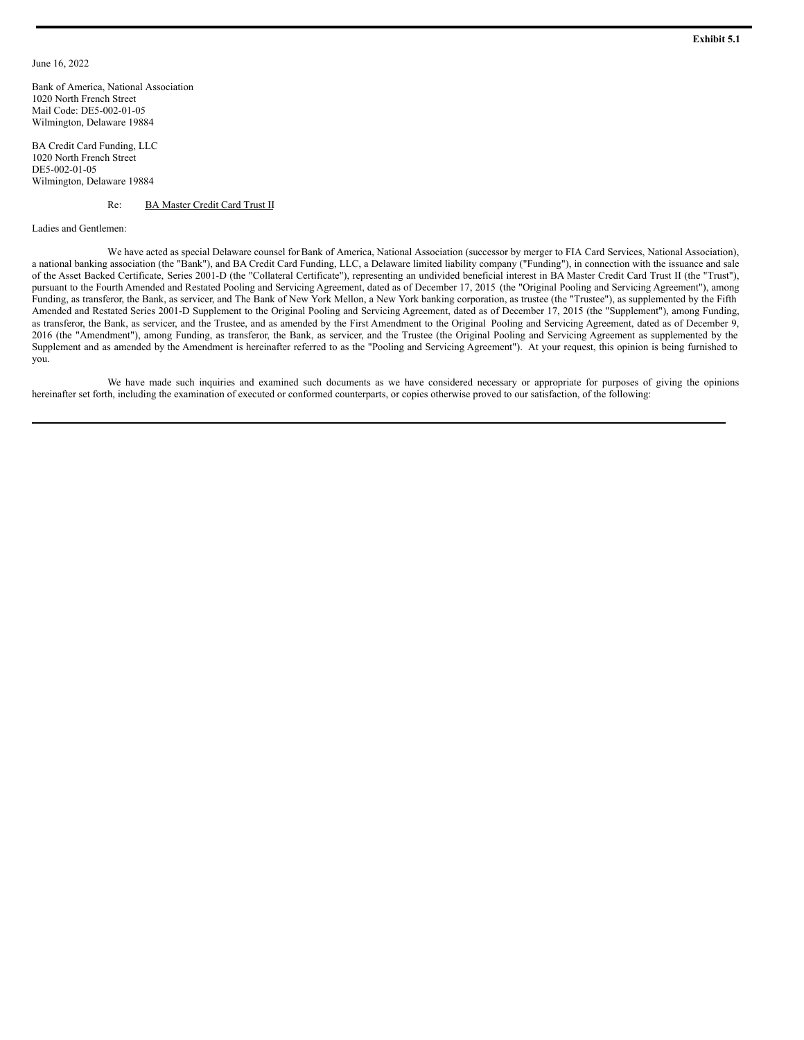### June 16, 2022

Bank of America, National Association 1020 North French Street Mail Code: DE5-002-01-05 Wilmington, Delaware 19884

BA Credit Card Funding, LLC 1020 North French Street DE5-002-01-05 Wilmington, Delaware 19884

#### Re: BA Master Credit Card Trust II

Ladies and Gentlemen:

We have acted as special Delaware counsel forBank of America, National Association (successor by merger to FIA Card Services, National Association), a national banking association (the "Bank"), and BA Credit Card Funding, LLC, a Delaware limited liability company ("Funding"), in connection with the issuance and sale of the Asset Backed Certificate, Series 2001-D (the "Collateral Certificate"), representing an undivided beneficial interest in BA Master Credit Card Trust II (the "Trust"), pursuant to the Fourth Amended and Restated Pooling and Servicing Agreement, dated as of December 17, 2015 (the "Original Pooling and Servicing Agreement"), among Funding, as transferor, the Bank, as servicer, and The Bank of New York Mellon, a New York banking corporation, as trustee (the "Trustee"), as supplemented by the Fifth Amended and Restated Series 2001-D Supplement to the Original Pooling and Servicing Agreement, dated as of December 17, 2015 (the "Supplement"), among Funding, as transferor, the Bank, as servicer, and the Trustee, and as amended by the First Amendment to the Original Pooling and Servicing Agreement, dated as of December 9, 2016 (the "Amendment"), among Funding, as transferor, the Bank, as servicer, and the Trustee (the Original Pooling and Servicing Agreement as supplemented by the Supplement and as amended by the Amendment is hereinafter referred to as the "Pooling and Servicing Agreement"). At your request, this opinion is being furnished to you.

We have made such inquiries and examined such documents as we have considered necessary or appropriate for purposes of giving the opinions hereinafter set forth, including the examination of executed or conformed counterparts, or copies otherwise proved to our satisfaction, of the following: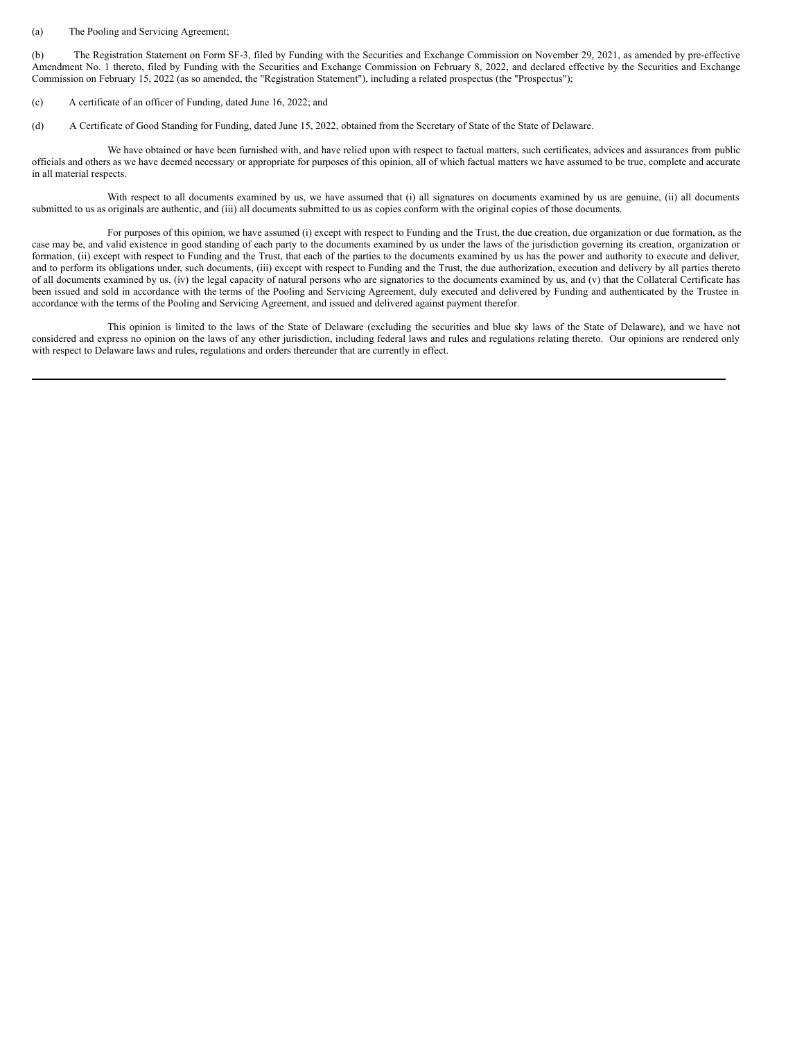#### <span id="page-17-0"></span>(a) The Pooling and Servicing Agreement;

(b) The Registration Statement on Form SF-3, filed by Funding with the Securities and Exchange Commission on November 29, 2021, as amended by pre-effective Amendment No. 1 thereto, filed by Funding with the Securities and Exchange Commission on February 8, 2022, and declared effective by the Securities and Exchange Commission on February 15, 2022 (as so amended, the "Registration Statement"), including a related prospectus (the "Prospectus");

(c) A certificate of an officer of Funding, dated June 16, 2022; and

(d) A Certificate of Good Standing for Funding, dated June 15, 2022, obtained from the Secretary of State of the State of Delaware.

We have obtained or have been furnished with, and have relied upon with respect to factual matters, such certificates, advices and assurances from public officials and others as we have deemed necessary or appropriate for purposes of this opinion, all of which factual matters we have assumed to be true, complete and accurate in all material respects.

With respect to all documents examined by us, we have assumed that (i) all signatures on documents examined by us are genuine, (ii) all documents submitted to us as originals are authentic, and (iii) all documents submitted to us as copies conform with the original copies of those documents.

For purposes of this opinion, we have assumed (i) except with respect to Funding and the Trust, the due creation, due organization or due formation, as the case may be, and valid existence in good standing of each party to the documents examined by us under the laws of the jurisdiction governing its creation, organization or formation, (ii) except with respect to Funding and the Trust, that each of the parties to the documents examined by us has the power and authority to execute and deliver, and to perform its obligations under, such documents, (iii) except with respect to Funding and the Trust, the due authorization, execution and delivery by all parties thereto of all documents examined by us, (iv) the legal capacity of natural persons who are signatories to the documents examined by us, and (v) that the Collateral Certificate has been issued and sold in accordance with the terms of the Pooling and Servicing Agreement, duly executed and delivered by Funding and authenticated by the Trustee in accordance with the terms of the Pooling and Servicing Agreement, and issued and delivered against payment therefor.

This opinion is limited to the laws of the State of Delaware (excluding the securities and blue sky laws of the State of Delaware), and we have not considered and express no opinion on the laws of any other jurisdiction, including federal laws and rules and regulations relating thereto. Our opinions are rendered only with respect to Delaware laws and rules, regulations and orders thereunder that are currently in effect.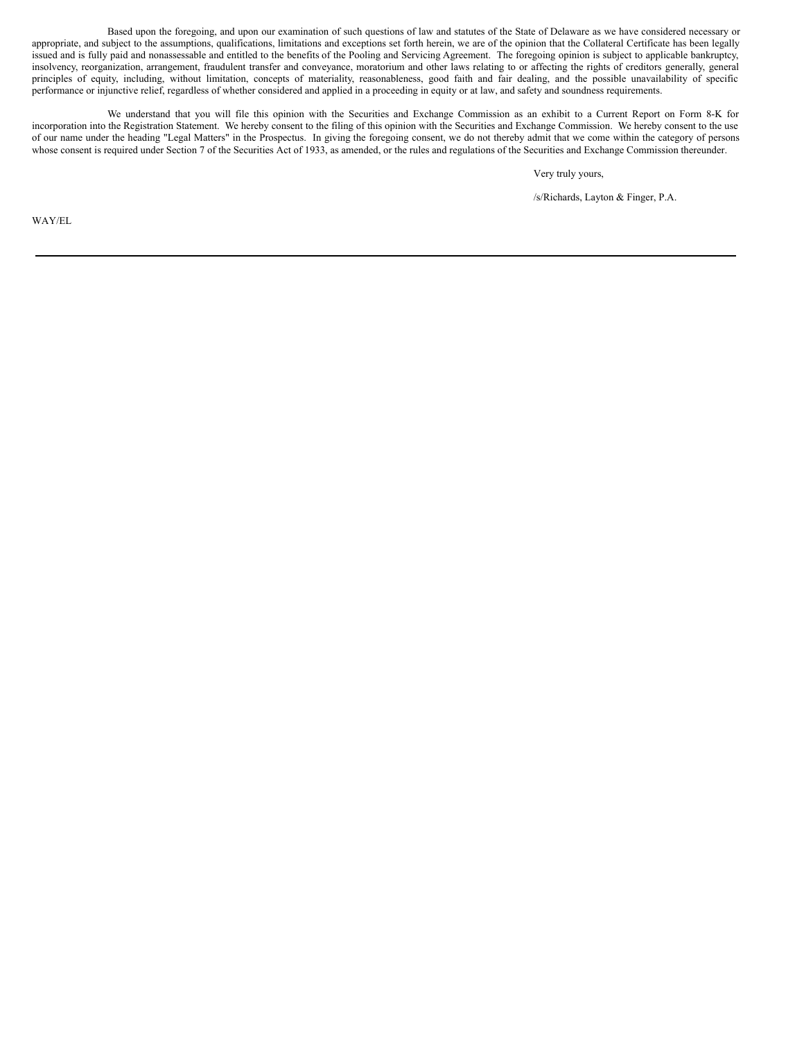Based upon the foregoing, and upon our examination of such questions of law and statutes of the State of Delaware as we have considered necessary or appropriate, and subject to the assumptions, qualifications, limitations and exceptions set forth herein, we are of the opinion that the Collateral Certificate has been legally issued and is fully paid and nonassessable and entitled to the benefits of the Pooling and Servicing Agreement. The foregoing opinion is subject to applicable bankruptcy, insolvency, reorganization, arrangement, fraudulent transfer and conveyance, moratorium and other laws relating to or affecting the rights of creditors generally, general principles of equity, including, without limitation, concepts of materiality, reasonableness, good faith and fair dealing, and the possible unavailability of specific performance or injunctive relief, regardless of whether considered and applied in a proceeding in equity or at law, and safety and soundness requirements.

We understand that you will file this opinion with the Securities and Exchange Commission as an exhibit to a Current Report on Form 8-K for incorporation into the Registration Statement. We hereby consent to the filing of this opinion with the Securities and Exchange Commission. We hereby consent to the use of our name under the heading "Legal Matters" in the Prospectus. In giving the foregoing consent, we do not thereby admit that we come within the category of persons whose consent is required under Section 7 of the Securities Act of 1933, as amended, or the rules and regulations of the Securities and Exchange Commission thereunder.

Very truly yours,

/s/Richards, Layton & Finger, P.A.

WAY/EL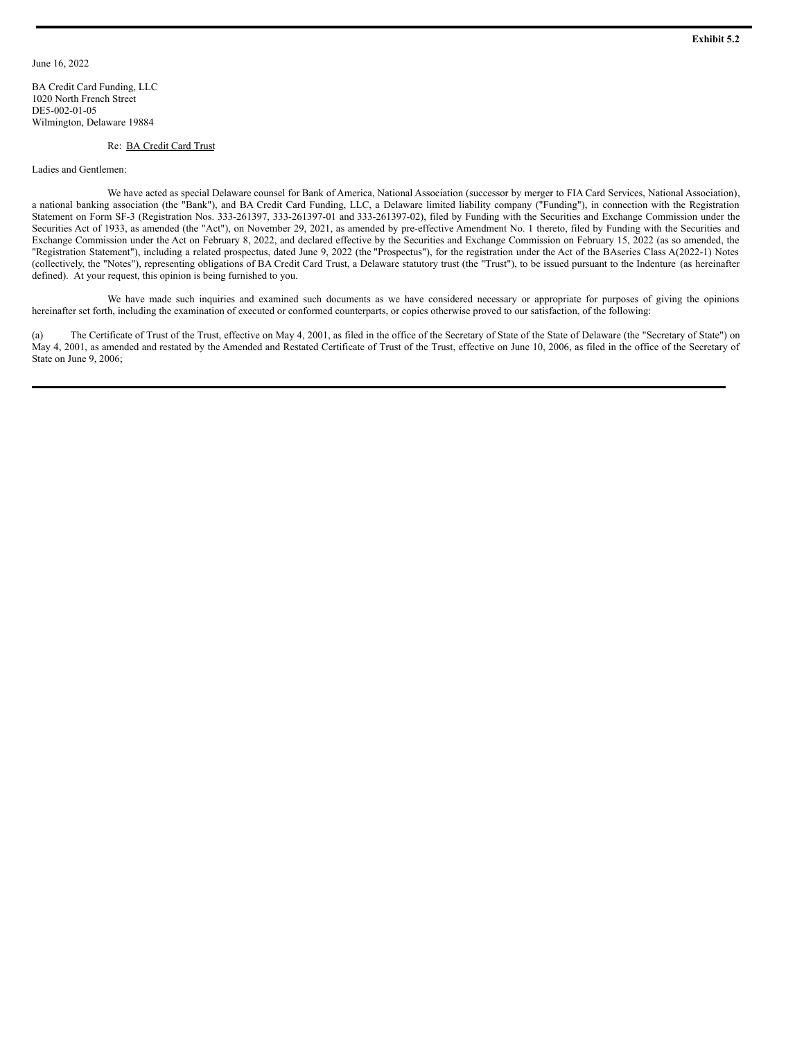BA Credit Card Funding, LLC 1020 North French Street DE5-002-01-05 Wilmington, Delaware 19884

#### Re: BA Credit Card Trust

#### Ladies and Gentlemen:

We have acted as special Delaware counsel for Bank of America, National Association (successor by merger to FIA Card Services, National Association), a national banking association (the "Bank"), and BA Credit Card Funding, LLC, a Delaware limited liability company ("Funding"), in connection with the Registration Statement on Form SF-3 (Registration Nos. 333-261397, 333-261397-01 and 333-261397-02), filed by Funding with the Securities and Exchange Commission under the Securities Act of 1933, as amended (the "Act"), on November 29, 2021, as amended by pre-effective Amendment No. 1 thereto, filed by Funding with the Securities and Exchange Commission under the Act on February 8, 2022, and declared effective by the Securities and Exchange Commission on February 15, 2022 (as so amended, the "Registration Statement"), including a related prospectus, dated June 9, 2022 (the "Prospectus"), for the registration under the Act of the BAseries Class A(2022-1) Notes (collectively, the "Notes"), representing obligations of BA Credit Card Trust, a Delaware statutory trust (the "Trust"), to be issued pursuant to the Indenture (as hereinafter defined). At your request, this opinion is being furnished to you.

We have made such inquiries and examined such documents as we have considered necessary or appropriate for purposes of giving the opinions hereinafter set forth, including the examination of executed or conformed counterparts, or copies otherwise proved to our satisfaction, of the following:

(a) The Certificate of Trust of the Trust, effective on May 4, 2001, as filed in the office of the Secretary of State of the State of Delaware (the "Secretary of State") on May 4, 2001, as amended and restated by the Amended and Restated Certificate of Trust of the Trust, effective on June 10, 2006, as filed in the office of the Secretary of State on June 9, 2006;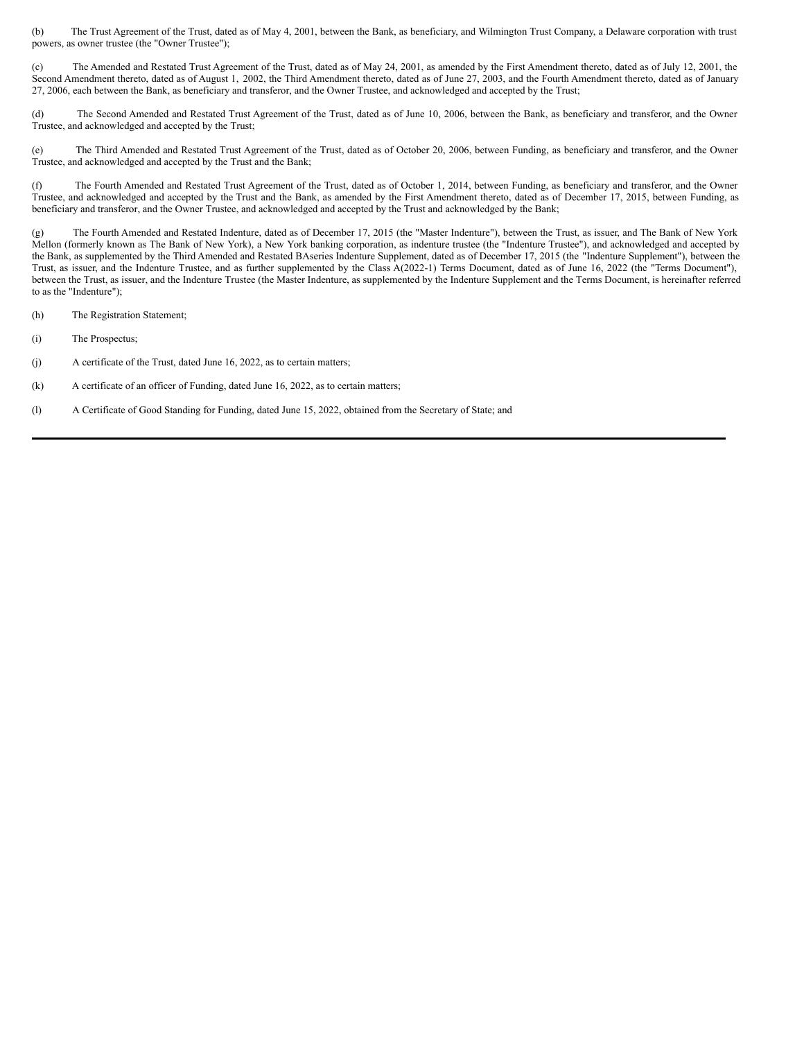<span id="page-20-0"></span>(b) The Trust Agreement of the Trust, dated as of May 4, 2001, between the Bank, as beneficiary, and Wilmington Trust Company, a Delaware corporation with trust powers, as owner trustee (the "Owner Trustee");

(c) The Amended and Restated Trust Agreement of the Trust, dated as of May 24, 2001, as amended by the First Amendment thereto, dated as of July 12, 2001, the Second Amendment thereto, dated as of August 1, 2002, the Third Amendment thereto, dated as of June 27, 2003, and the Fourth Amendment thereto, dated as of January 27, 2006, each between the Bank, as beneficiary and transferor, and the Owner Trustee, and acknowledged and accepted by the Trust;

(d) The Second Amended and Restated Trust Agreement of the Trust, dated as of June 10, 2006, between the Bank, as beneficiary and transferor, and the Owner Trustee, and acknowledged and accepted by the Trust;

(e) The Third Amended and Restated Trust Agreement of the Trust, dated as of October 20, 2006, between Funding, as beneficiary and transferor, and the Owner Trustee, and acknowledged and accepted by the Trust and the Bank;

(f) The Fourth Amended and Restated Trust Agreement of the Trust, dated as of October 1, 2014, between Funding, as beneficiary and transferor, and the Owner Trustee, and acknowledged and accepted by the Trust and the Bank, as amended by the First Amendment thereto, dated as of December 17, 2015, between Funding, as beneficiary and transferor, and the Owner Trustee, and acknowledged and accepted by the Trust and acknowledged by the Bank;

(g) The Fourth Amended and Restated Indenture, dated as of December 17, 2015 (the "Master Indenture"), between the Trust, as issuer, and The Bank of New York Mellon (formerly known as The Bank of New York), a New York banking corporation, as indenture trustee (the "Indenture Trustee"), and acknowledged and accepted by the Bank, as supplemented by the Third Amended and Restated BAseries Indenture Supplement, dated as of December 17, 2015 (the "Indenture Supplement"), between the Trust, as issuer, and the Indenture Trustee, and as further supplemented by the Class A(2022-1) Terms Document, dated as of June 16, 2022 (the "Terms Document"), between the Trust, as issuer, and the Indenture Trustee (the Master Indenture, as supplemented by the Indenture Supplement and the Terms Document, is hereinafter referred to as the "Indenture");

- (h) The Registration Statement;
- (i) The Prospectus;
- (j) A certificate of the Trust, dated June 16, 2022, as to certain matters;
- (k) A certificate of an officer of Funding, dated June 16, 2022, as to certain matters;
- (l) A Certificate of Good Standing for Funding, dated June 15, 2022, obtained from the Secretary of State; and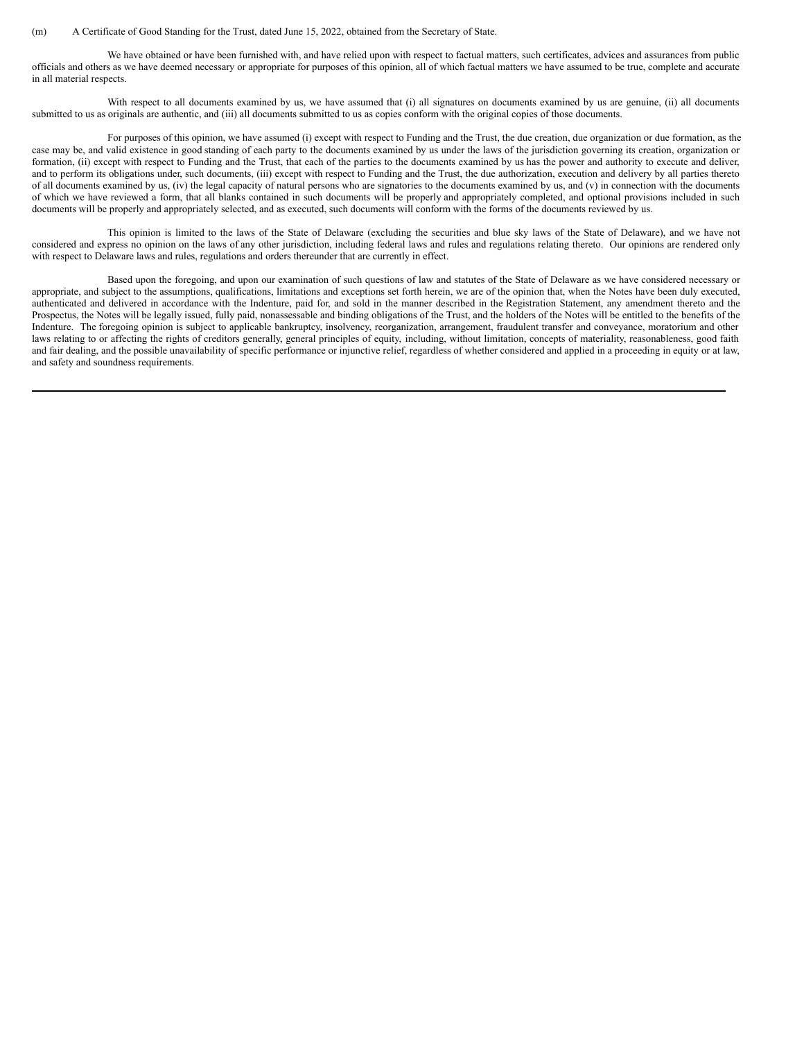#### (m) A Certificate of Good Standing for the Trust, dated June 15, 2022, obtained from the Secretary of State.

We have obtained or have been furnished with, and have relied upon with respect to factual matters, such certificates, advices and assurances from public officials and others as we have deemed necessary or appropriate for purposes of this opinion, all of which factual matters we have assumed to be true, complete and accurate in all material respects.

With respect to all documents examined by us, we have assumed that (i) all signatures on documents examined by us are genuine, (ii) all documents submitted to us as originals are authentic, and (iii) all documents submitted to us as copies conform with the original copies of those documents.

For purposes of this opinion, we have assumed (i) except with respect to Funding and the Trust, the due creation, due organization or due formation, as the case may be, and valid existence in good standing of each party to the documents examined by us under the laws of the jurisdiction governing its creation, organization or formation, (ii) except with respect to Funding and the Trust, that each of the parties to the documents examined by us has the power and authority to execute and deliver, and to perform its obligations under, such documents, (iii) except with respect to Funding and the Trust, the due authorization, execution and delivery by all parties thereto of all documents examined by us, (iv) the legal capacity of natural persons who are signatories to the documents examined by us, and (v) in connection with the documents of which we have reviewed a form, that all blanks contained in such documents will be properly and appropriately completed, and optional provisions included in such documents will be properly and appropriately selected, and as executed, such documents will conform with the forms of the documents reviewed by us.

This opinion is limited to the laws of the State of Delaware (excluding the securities and blue sky laws of the State of Delaware), and we have not considered and express no opinion on the laws of any other jurisdiction, including federal laws and rules and regulations relating thereto. Our opinions are rendered only with respect to Delaware laws and rules, regulations and orders thereunder that are currently in effect.

Based upon the foregoing, and upon our examination of such questions of law and statutes of the State of Delaware as we have considered necessary or appropriate, and subject to the assumptions, qualifications, limitations and exceptions set forth herein, we are of the opinion that, when the Notes have been duly executed, authenticated and delivered in accordance with the Indenture, paid for, and sold in the manner described in the Registration Statement, any amendment thereto and the Prospectus, the Notes will be legally issued, fully paid, nonassessable and binding obligations of the Trust, and the holders of the Notes will be entitled to the benefits of the Indenture. The foregoing opinion is subject to applicable bankruptcy, insolvency, reorganization, arrangement, fraudulent transfer and conveyance, moratorium and other laws relating to or affecting the rights of creditors generally, general principles of equity, including, without limitation, concepts of materiality, reasonableness, good faith and fair dealing, and the possible unavailability of specific performance or injunctive relief, regardless of whether considered and applied in a proceeding in equity or at law, and safety and soundness requirements.